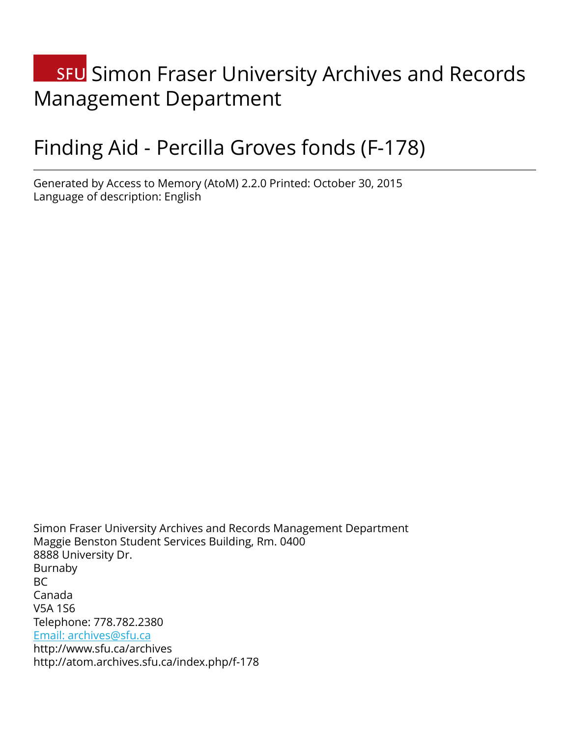# **SFU** Simon Fraser University Archives and Records Management Department

# Finding Aid - Percilla Groves fonds (F-178)

Generated by Access to Memory (AtoM) 2.2.0 Printed: October 30, 2015 Language of description: English

Simon Fraser University Archives and Records Management Department Maggie Benston Student Services Building, Rm. 0400 8888 University Dr. Burnaby BC Canada V5A 1S6 Telephone: 778.782.2380 [Email: archives@sfu.ca](mailto:Email: archives@sfu.ca) http://www.sfu.ca/archives http://atom.archives.sfu.ca/index.php/f-178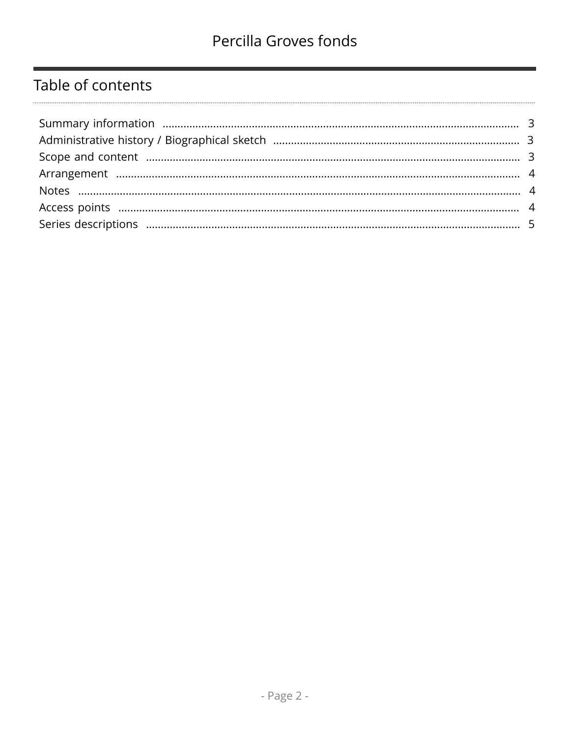## Table of contents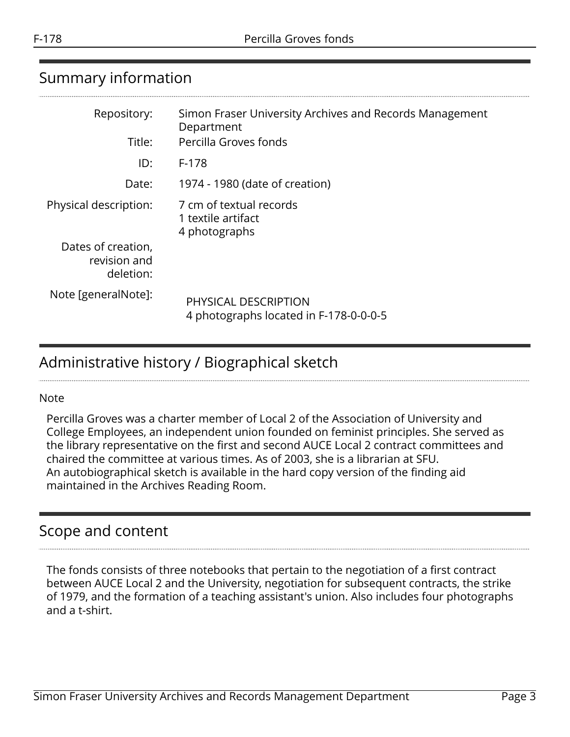# <span id="page-2-0"></span>Summary information

| Repository:<br>Title:                           | Simon Fraser University Archives and Records Management<br>Department<br>Percilla Groves fonds |
|-------------------------------------------------|------------------------------------------------------------------------------------------------|
| ID:                                             | $F-178$                                                                                        |
|                                                 |                                                                                                |
| Date:                                           | 1974 - 1980 (date of creation)                                                                 |
| Physical description:                           | 7 cm of textual records<br>1 textile artifact<br>4 photographs                                 |
| Dates of creation,<br>revision and<br>deletion: |                                                                                                |
| Note [generalNote]:                             | PHYSICAL DESCRIPTION<br>4 photographs located in F-178-0-0-0-5                                 |

## <span id="page-2-1"></span>Administrative history / Biographical sketch

#### Note

Percilla Groves was a charter member of Local 2 of the Association of University and College Employees, an independent union founded on feminist principles. She served as the library representative on the first and second AUCE Local 2 contract committees and chaired the committee at various times. As of 2003, she is a librarian at SFU. An autobiographical sketch is available in the hard copy version of the finding aid maintained in the Archives Reading Room.

### <span id="page-2-2"></span>Scope and content

The fonds consists of three notebooks that pertain to the negotiation of a first contract between AUCE Local 2 and the University, negotiation for subsequent contracts, the strike of 1979, and the formation of a teaching assistant's union. Also includes four photographs and a t-shirt.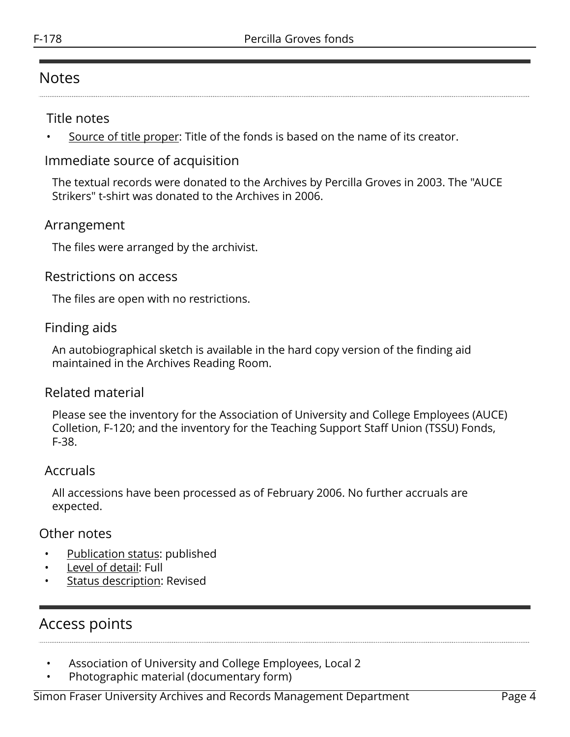#### <span id="page-3-1"></span>Notes

#### Title notes

Source of title proper: Title of the fonds is based on the name of its creator.

#### Immediate source of acquisition

The textual records were donated to the Archives by Percilla Groves in 2003. The "AUCE Strikers" t-shirt was donated to the Archives in 2006.

#### <span id="page-3-0"></span>Arrangement

The files were arranged by the archivist.

#### Restrictions on access

The files are open with no restrictions.

#### Finding aids

An autobiographical sketch is available in the hard copy version of the finding aid maintained in the Archives Reading Room.

#### Related material

Please see the inventory for the Association of University and College Employees (AUCE) Colletion, F-120; and the inventory for the Teaching Support Staff Union (TSSU) Fonds, F-38.

#### Accruals

All accessions have been processed as of February 2006. No further accruals are expected.

#### Other notes

- Publication status: published
- Level of detail: Full
- Status description: Revised

### <span id="page-3-2"></span>Access points

- Association of University and College Employees, Local 2
- Photographic material (documentary form)